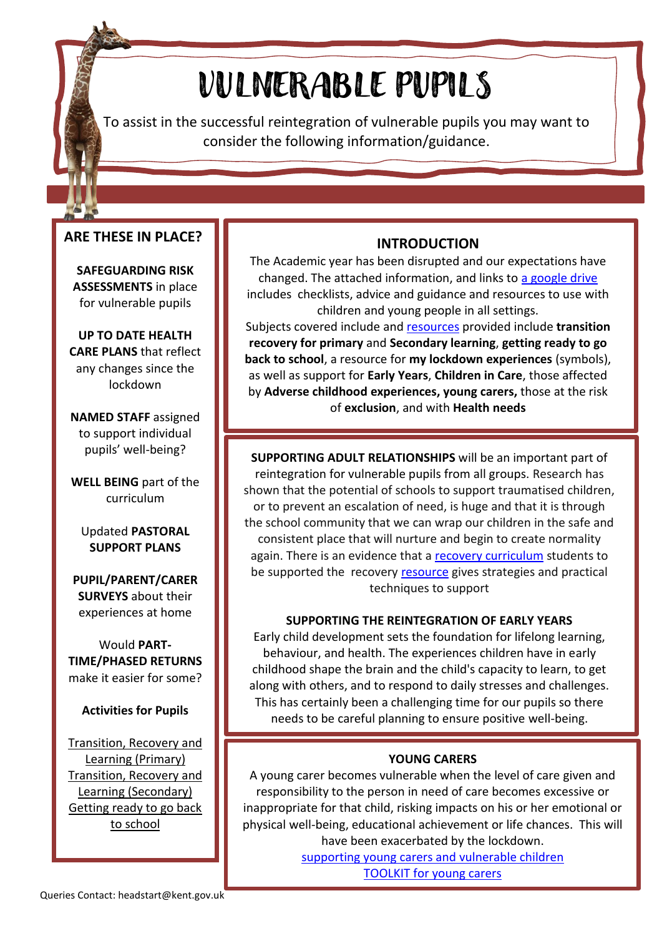# VULNERABLE PUPILS

To assist in the successful reintegration of vulnerable pupils you may want to consider the following information/guidance.

# **ARE THESE IN PLACE?**

**SAFEGUARDING RISK ASSESSMENTS** in place for vulnerable pupils

**UP TO DATE HEALTH CARE PLANS** that reflect any changes since the lockdown

**NAMED STAFF** assigned to support individual pupils' well-being?

**WELL BEING** part of the curriculum

Updated **PASTORAL SUPPORT PLANS**

**PUPIL/PARENT/CARER SURVEYS** about their experiences at home

Would **PART-TIME/PHASED RETURNS** make it easier for some?

# **Activities for Pupils**

[Transition, Recovery and](https://drive.google.com/drive/folders/1mIYcjYofzDxudjAFiHZGczcPpis1w0sf)  Learning [\(Primary\)](https://drive.google.com/drive/folders/1mIYcjYofzDxudjAFiHZGczcPpis1w0sf) [Transition, Recovery and](https://drive.google.com/drive/folders/1mIYcjYofzDxudjAFiHZGczcPpis1w0sf)  [Learning \(Secondary\)](https://drive.google.com/drive/folders/1mIYcjYofzDxudjAFiHZGczcPpis1w0sf) [Getting ready to go back](https://drive.google.com/drive/folders/1mIYcjYofzDxudjAFiHZGczcPpis1w0sf)  [to school](https://drive.google.com/drive/folders/1mIYcjYofzDxudjAFiHZGczcPpis1w0sf)

# **INTRODUCTION**

The Academic year has been disrupted and our expectations have changed. The attached information, and links to [a google drive](https://drive.google.com/open?id=11hk6pZbRQiJgYzG8Wrz4RJW5PWiL28rL) includes checklists, advice and guidance and resources to use with children and young people in all settings.

Subjects covered include and [resources](https://drive.google.com/open?id=1W214H_tWi6Ppat_MBFSjt-kjLFjvl87i) provided include **transition recovery for primary** and **Secondary learning**, **getting ready to go back to school**, a resource for **my lockdown experiences** (symbols), as well as support for **Early Years**, **Children in Care**, those affected by **Adverse childhood experiences, young carers,** those at the risk of **exclusion**, and with **Health needs**

**SUPPORTING ADULT RELATIONSHIPS** will be an important part of reintegration for vulnerable pupils from all groups. Research has shown that the potential of schools to support traumatised children, or to prevent an escalation of need, is huge and that it is through the school community that we can wrap our children in the safe and consistent place that will nurture and begin to create normality again. There is an evidence that a [recovery curriculum](https://www.evidenceforlearning.net/recoverycurriculum/) students to be supported the recovery [resource](https://drive.google.com/drive/folders/1mIYcjYofzDxudjAFiHZGczcPpis1w0sf) gives strategies and practical techniques to support

# **SUPPORTING THE REINTEGRATION OF EARLY YEARS**

Early child development sets the foundation for lifelong learning, behaviour, and health. The experiences children have in early childhood shape the brain and the child's capacity to learn, to get along with others, and to respond to daily stresses and challenges. This has certainly been a challenging time for our pupils so there needs to be careful planning to ensure positive well-being.

**LINKS** – planning to reintegrate the Early Years Early Years – pupil views **YOUNG CARERS** A young carer becomes vulnerable when the level of care given and responsibility to the person in need of care becomes excessive or inappropriate for that child, risking impacts on his or her emotional or physical well-being, educational achievement or life chances. This will have been exacerbated by the lockdown. [supporting young carers and vulnerable children](https://drive.google.com/open?id=11hk6pZbRQiJgYzG8Wrz4RJW5PWiL28rL)

[TOOLKIT for young carers](https://drive.google.com/open?id=11hk6pZbRQiJgYzG8Wrz4RJW5PWiL28rL)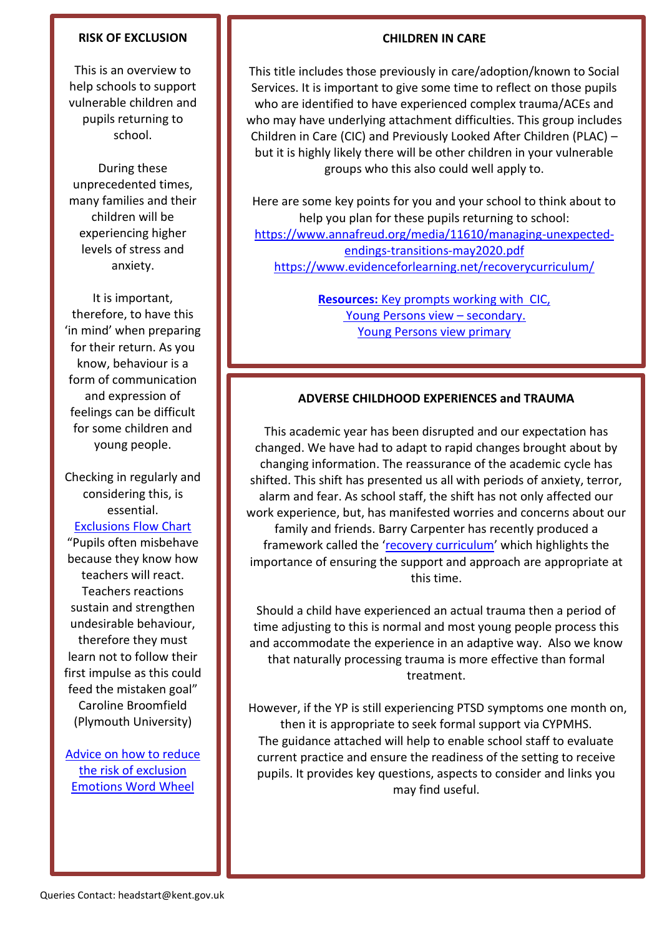## **RISK OF EXCLUSION**

This is an overview to help schools to support vulnerable children and pupils returning to school.

During these unprecedented times, many families and their children will be experiencing higher levels of stress and anxiety.

It is important, therefore, to have this 'in mind' when preparing for their return. As you know, behaviour is a form of communication and expression of feelings can be difficult for some children and young people.

Checking in regularly and considering this, is essential.

# [Exclusions Flow Chart](https://drive.google.com/open?id=11hk6pZbRQiJgYzG8Wrz4RJW5PWiL28rL)

"Pupils often misbehave because they know how teachers will react. Teachers reactions sustain and strengthen undesirable behaviour, therefore they must learn not to follow their first impulse as this could feed the mistaken goal" Caroline Broomfield (Plymouth University)

[Advice on how to reduce](https://drive.google.com/open?id=11hk6pZbRQiJgYzG8Wrz4RJW5PWiL28rL)  the risk [of exclusion](https://drive.google.com/open?id=11hk6pZbRQiJgYzG8Wrz4RJW5PWiL28rL) [Emotions Word Wheel](https://drive.google.com/open?id=11hk6pZbRQiJgYzG8Wrz4RJW5PWiL28rL)

#### **CHILDREN IN CARE**

This title includes those previously in care/adoption/known to Social Services. It is important to give some time to reflect on those pupils who are identified to have experienced complex trauma/ACEs and who may have underlying attachment difficulties. This group includes Children in Care (CIC) and Previously Looked After Children (PLAC) – but it is highly likely there will be other children in your vulnerable groups who this also could well apply to.

Here are some key points for you and your school to think about to help you plan for these pupils returning to school: [https://www.annafreud.org/media/11610/managing-unexpected](https://www.annafreud.org/media/11610/managing-unexpected-endings-transitions-may2020.pdf)[endings-transitions-may2020.pdf](https://www.annafreud.org/media/11610/managing-unexpected-endings-transitions-may2020.pdf) <https://www.evidenceforlearning.net/recoverycurriculum/>

> **Resources:** Key prompts [working with CIC,](https://drive.google.com/open?id=11hk6pZbRQiJgYzG8Wrz4RJW5PWiL28rL) [Young Persons view](https://drive.google.com/open?id=11hk6pZbRQiJgYzG8Wrz4RJW5PWiL28rL) – secondary. [Young Persons view primary](https://drive.google.com/open?id=11hk6pZbRQiJgYzG8Wrz4RJW5PWiL28rL)

# **ADVERSE CHILDHOOD EXPERIENCES and TRAUMA**

This academic year has been disrupted and our expectation has changed. We have had to adapt to rapid changes brought about by changing information. The reassurance of the academic cycle has shifted. This shift has presented us all with periods of anxiety, terror, alarm and fear. As school staff, the shift has not only affected our work experience, but, has manifested worries and concerns about our family and friends. Barry Carpenter has recently produced a framework called the '[recovery curriculum](https://www.evidenceforlearning.net/recoverycurriculum/)' which highlights the importance of ensuring the support and approach are appropriate at this time.

Should a child have experienced an actual trauma then a period of time adjusting to this is normal and most young people process this and accommodate the experience in an adaptive way. Also we know that naturally processing trauma is more effective than formal treatment.

However, if the YP is still experiencing PTSD symptoms one month on, then it is appropriate to seek formal support via CYPMHS. The guidance attached will help to enable school staff to evaluate current practice and ensure the readiness of the setting to receive pupils. It provides key questions, aspects to consider and links you may find useful.